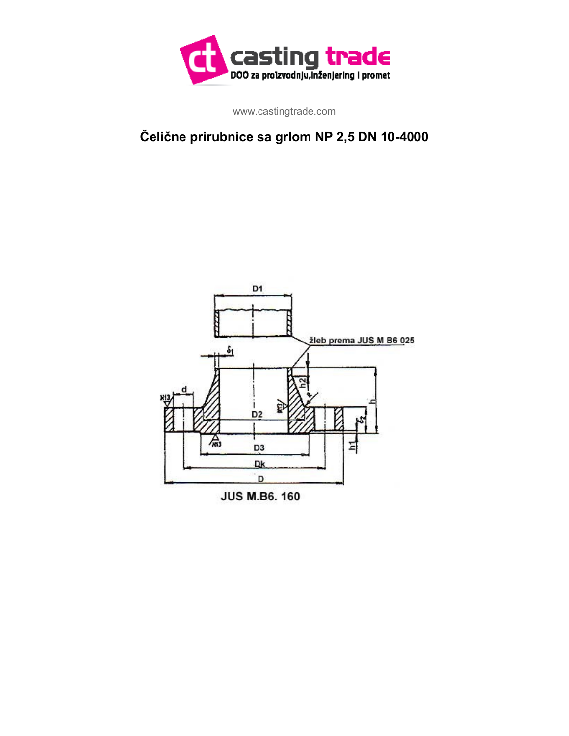

www.castingtrade.com

## **Čelične prirubnice sa grlom NP 2,5 DN 10-4000**